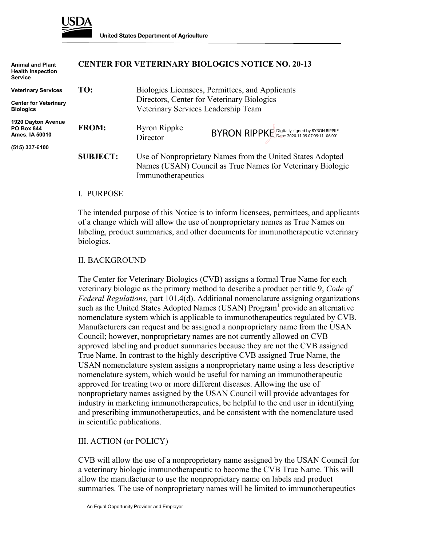

| <b>Animal and Plant</b><br><b>Health Inspection</b><br><b>Service</b> |                 |                                                                                                                                                | <b>CENTER FOR VETERINARY BIOLOGICS NOTICE NO. 20-13</b> |
|-----------------------------------------------------------------------|-----------------|------------------------------------------------------------------------------------------------------------------------------------------------|---------------------------------------------------------|
| <b>Veterinary Services</b>                                            | TO:             | Biologics Licensees, Permittees, and Applicants<br>Directors, Center for Veterinary Biologics<br>Veterinary Services Leadership Team           |                                                         |
| <b>Center for Veterinary</b><br><b>Biologics</b>                      |                 |                                                                                                                                                |                                                         |
| 1920 Dayton Avenue<br><b>PO Box 844</b><br>Ames, IA 50010             | <b>FROM:</b>    | <b>Byron Rippke</b><br>Director                                                                                                                | BYRON RIPPKE Digitally signed by BYRON RIPPKE           |
| (515) 337-6100                                                        |                 |                                                                                                                                                |                                                         |
|                                                                       | <b>SUBJECT:</b> | Use of Nonproprietary Names from the United States Adopted<br>Names (USAN) Council as True Names for Veterinary Biologic<br>Immunotherapeutics |                                                         |

### I. PURPOSE

The intended purpose of this Notice is to inform licensees, permittees, and applicants of a change which will allow the use of nonproprietary names as True Names on labeling, product summaries, and other documents for immunotherapeutic veterinary biologics.

### II. BACKGROUND

The Center for Veterinary Biologics (CVB) assigns a formal True Name for each veterinary biologic as the primary method to describe a product per title 9, *Code of Federal Regulations*, part 101.4(d). Additional nomenclature assigning organizations such as the United States Adopted Names (USAN) Program<sup>1</sup> provide an alternative nomenclature system which is applicable to immunotherapeutics regulated by CVB. Manufacturers can request and be assigned a nonproprietary name from the USAN Council; however, nonproprietary names are not currently allowed on CVB approved labeling and product summaries because they are not the CVB assigned True Name. In contrast to the highly descriptive CVB assigned True Name, the USAN nomenclature system assigns a nonproprietary name using a less descriptive nomenclature system, which would be useful for naming an immunotherapeutic approved for treating two or more different diseases. Allowing the use of nonproprietary names assigned by the USAN Council will provide advantages for industry in marketing immunotherapeutics, be helpful to the end user in identifying and prescribing immunotherapeutics, and be consistent with the nomenclature used in scientific publications.

### III. ACTION (or POLICY)

CVB will allow the use of a nonproprietary name assigned by the USAN Council for a veterinary biologic immunotherapeutic to become the CVB True Name. This will allow the manufacturer to use the nonproprietary name on labels and product summaries. The use of nonproprietary names will be limited to immunotherapeutics